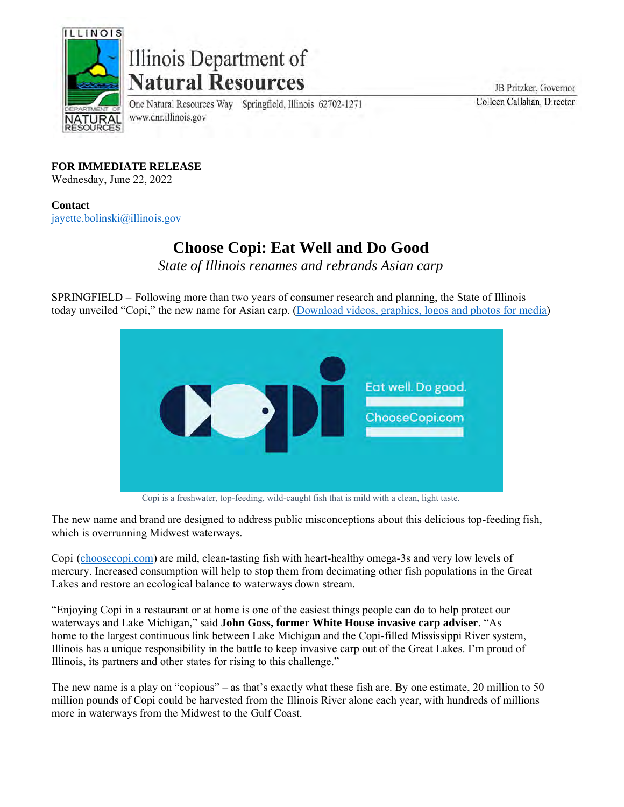

## Illinois Department of **Natural Resources**

One Natural Resources Way Springfield, Illinois 62702-1271 www.dnr.illinois.gov

JB Pritzker, Governor Colleen Callahan, Director

**FOR IMMEDIATE RELEASE**

Wednesday, June 22, 2022

**Contact** [jayette.bolinski@illinois.gov](mailto:jayette.bolinski@illinois.gov)

## **Choose Copi: Eat Well and Do Good**

*State of Illinois renames and rebrands Asian carp*

SPRINGFIELD – Following more than two years of consumer research and planning, the State of Illinois today unveiled "Copi," the new name for Asian carp. [\(Download videos, graphics, logos and photos for media\)](https://drive.google.com/drive/folders/13gBwddCQODtbqPJ__avQrUGnNkm-2dZZ?usp=sharing)



Copi is a freshwater, top-feeding, wild-caught fish that is mild with a clean, light taste.

The new name and brand are designed to address public misconceptions about this delicious top-feeding fish, which is overrunning Midwest waterways.

Copi [\(choosecopi.com\)](https://choosecopi.com/) are mild, clean-tasting fish with heart-healthy omega-3s and very low levels of mercury. Increased consumption will help to stop them from decimating other fish populations in the Great Lakes and restore an ecological balance to waterways down stream.

"Enjoying Copi in a restaurant or at home is one of the easiest things people can do to help protect our waterways and Lake Michigan," said **John Goss, former White House invasive carp adviser**. "As home to the largest continuous link between Lake Michigan and the Copi-filled Mississippi River system, Illinois has a unique responsibility in the battle to keep invasive carp out of the Great Lakes. I'm proud of Illinois, its partners and other states for rising to this challenge."

The new name is a play on "copious" – as that's exactly what these fish are. By one estimate, 20 million to 50 million pounds of Copi could be harvested from the Illinois River alone each year, with hundreds of millions more in waterways from the Midwest to the Gulf Coast.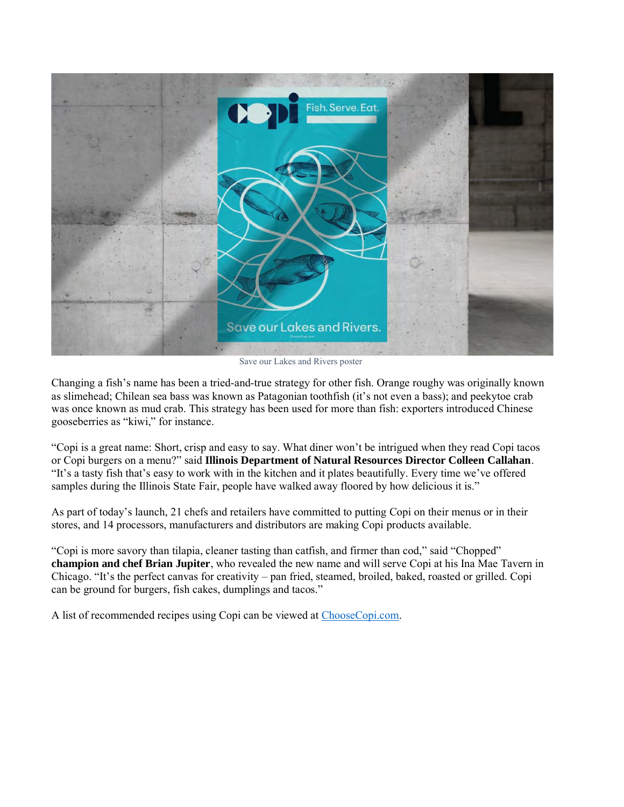

Save our Lakes and Rivers poster

Changing a fish's name has been a tried-and-true strategy for other fish. Orange roughy was originally known as slimehead; Chilean sea bass was known as Patagonian toothfish (it's not even a bass); and peekytoe crab was once known as mud crab. This strategy has been used for more than fish: exporters introduced Chinese gooseberries as "kiwi," for instance.

"Copi is a great name: Short, crisp and easy to say. What diner won't be intrigued when they read Copi tacos or Copi burgers on a menu?" said **Illinois Department of Natural Resources Director Colleen Callahan**. "It's a tasty fish that's easy to work with in the kitchen and it plates beautifully. Every time we've offered samples during the Illinois State Fair, people have walked away floored by how delicious it is."

As part of today's launch, 21 chefs and retailers have committed to putting Copi on their menus or in their stores, and 14 processors, manufacturers and distributors are making Copi products available.

"Copi is more savory than tilapia, cleaner tasting than catfish, and firmer than cod," said "Chopped" **champion and chef Brian Jupiter**, who revealed the new name and will serve Copi at his Ina Mae Tavern in Chicago. "It's the perfect canvas for creativity – pan fried, steamed, broiled, baked, roasted or grilled. Copi can be ground for burgers, fish cakes, dumplings and tacos."

A list of recommended recipes using Copi can be viewed at [ChooseCopi.com.](http://choosecopi.com/)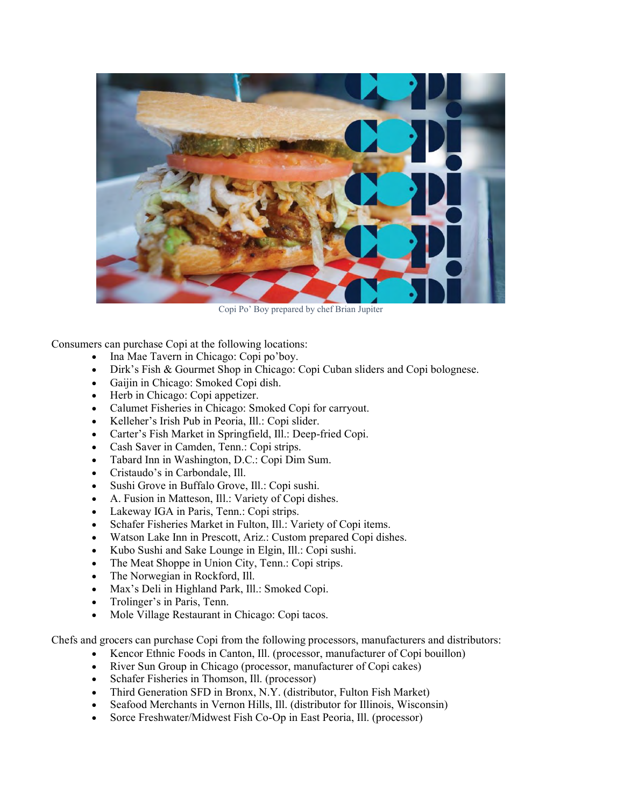

Copi Po' Boy prepared by chef Brian Jupiter

Consumers can purchase Copi at the following locations:

- Ina Mae Tavern in Chicago: Copi po'boy.
- Dirk's Fish & Gourmet Shop in Chicago: Copi Cuban sliders and Copi bolognese.
- Gaijin in Chicago: Smoked Copi dish.
- Herb in Chicago: Copi appetizer.
- Calumet Fisheries in Chicago: Smoked Copi for carryout.
- Kelleher's Irish Pub in Peoria, Ill.: Copi slider.
- Carter's Fish Market in Springfield, Ill.: Deep-fried Copi.
- Cash Saver in Camden, Tenn.: Copi strips.
- Tabard Inn in Washington, D.C.: Copi Dim Sum.
- Cristaudo's in Carbondale, Ill.
- Sushi Grove in Buffalo Grove, Ill.: Copi sushi.
- A. Fusion in Matteson, Ill.: Variety of Copi dishes.
- Lakeway IGA in Paris, Tenn.: Copi strips.
- Schafer Fisheries Market in Fulton, Ill.: Variety of Copi items.
- Watson Lake Inn in Prescott, Ariz.: Custom prepared Copi dishes.
- Kubo Sushi and Sake Lounge in Elgin, Ill.: Copi sushi.
- The Meat Shoppe in Union City, Tenn.: Copi strips.
- The Norwegian in Rockford, Ill.
- Max's Deli in Highland Park, Ill.: Smoked Copi.
- Trolinger's in Paris, Tenn.
- Mole Village Restaurant in Chicago: Copi tacos.

Chefs and grocers can purchase Copi from the following processors, manufacturers and distributors:

- Kencor Ethnic Foods in Canton, Ill. (processor, manufacturer of Copi bouillon)
- River Sun Group in Chicago (processor, manufacturer of Copi cakes)
- Schafer Fisheries in Thomson, Ill. (processor)
- Third Generation SFD in Bronx, N.Y. (distributor, Fulton Fish Market)
- Seafood Merchants in Vernon Hills, Ill. (distributor for Illinois, Wisconsin)
- Sorce Freshwater/Midwest Fish Co-Op in East Peoria, Ill. (processor)